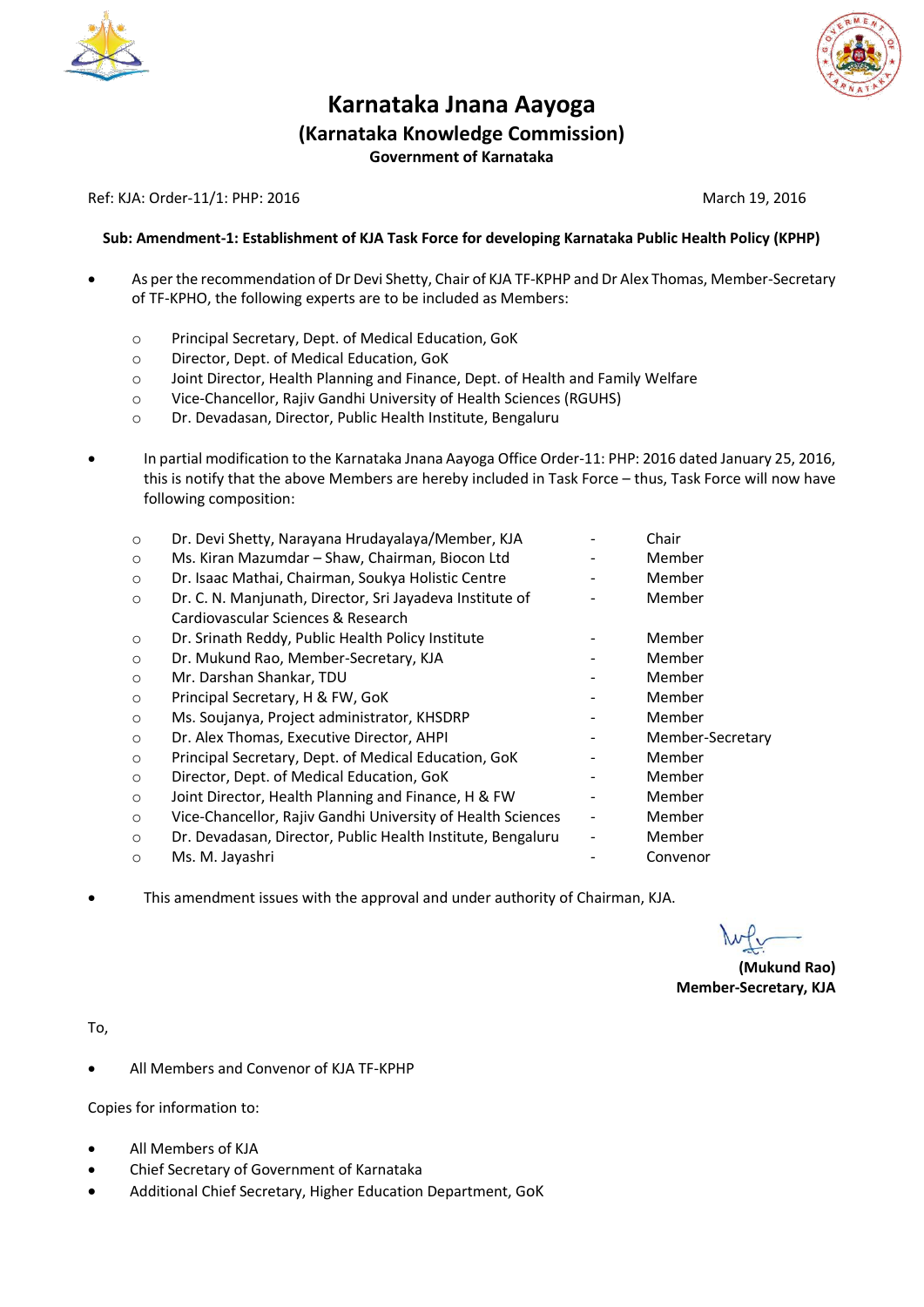



**Karnataka Jnana Aayoga (Karnataka Knowledge Commission) Government of Karnataka**

Ref: KJA: Order-11/1: PHP: 2016 March 19, 2016

## **Sub: Amendment-1: Establishment of KJA Task Force for developing Karnataka Public Health Policy (KPHP)**

- As per the recommendation of Dr Devi Shetty, Chair of KJA TF-KPHP and Dr Alex Thomas, Member-Secretary of TF-KPHO, the following experts are to be included as Members:
	- o Principal Secretary, Dept. of Medical Education, GoK
	- o Director, Dept. of Medical Education, GoK
	- o Joint Director, Health Planning and Finance, Dept. of Health and Family Welfare
	- o Vice-Chancellor, Rajiv Gandhi University of Health Sciences (RGUHS)
	- o Dr. Devadasan, Director, Public Health Institute, Bengaluru
- In partial modification to the Karnataka Jnana Aayoga Office Order-11: PHP: 2016 dated January 25, 2016, this is notify that the above Members are hereby included in Task Force – thus, Task Force will now have following composition:

| $\circ$ | Dr. Devi Shetty, Narayana Hrudayalaya/Member, KJA           |                              | Chair            |
|---------|-------------------------------------------------------------|------------------------------|------------------|
| $\circ$ | Ms. Kiran Mazumdar - Shaw, Chairman, Biocon Ltd             |                              | Member           |
| $\circ$ | Dr. Isaac Mathai, Chairman, Soukya Holistic Centre          |                              | Member           |
| $\circ$ | Dr. C. N. Manjunath, Director, Sri Jayadeva Institute of    |                              | Member           |
|         | Cardiovascular Sciences & Research                          |                              |                  |
| $\circ$ | Dr. Srinath Reddy, Public Health Policy Institute           |                              | Member           |
| $\circ$ | Dr. Mukund Rao, Member-Secretary, KJA                       |                              | Member           |
| $\circ$ | Mr. Darshan Shankar, TDU                                    |                              | Member           |
| $\circ$ | Principal Secretary, H & FW, GoK                            |                              | Member           |
| $\circ$ | Ms. Soujanya, Project administrator, KHSDRP                 |                              | Member           |
| $\circ$ | Dr. Alex Thomas, Executive Director, AHPI                   |                              | Member-Secretary |
| $\circ$ | Principal Secretary, Dept. of Medical Education, GoK        |                              | Member           |
| $\circ$ | Director, Dept. of Medical Education, GoK                   |                              | Member           |
| $\circ$ | Joint Director, Health Planning and Finance, H & FW         |                              | Member           |
| $\circ$ | Vice-Chancellor, Rajiv Gandhi University of Health Sciences | $\qquad \qquad \blacksquare$ | Member           |
| $\circ$ | Dr. Devadasan, Director, Public Health Institute, Bengaluru |                              | Member           |
| $\circ$ | Ms. M. Jayashri                                             |                              | Convenor         |

This amendment issues with the approval and under authority of Chairman, KJA.

**(Mukund Rao) Member-Secretary, KJA**

To,

All Members and Convenor of KJA TF-KPHP

Copies for information to:

- All Members of KJA
- Chief Secretary of Government of Karnataka
- Additional Chief Secretary, Higher Education Department, GoK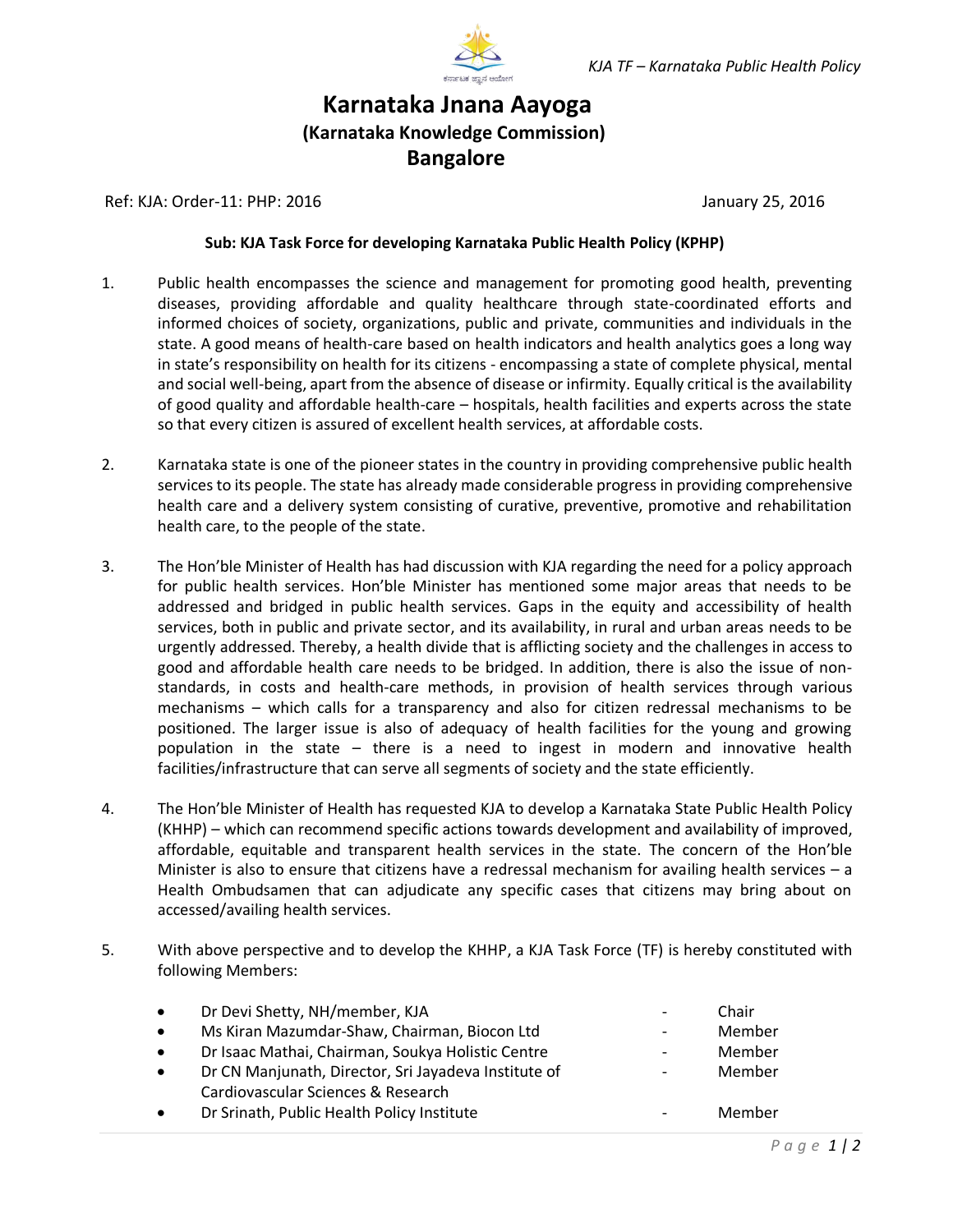

## **Karnataka Jnana Aayoga (Karnataka Knowledge Commission) Bangalore**

Ref: KJA: Order-11: PHP: 2016 **January 25, 2016** January 25, 2016

## **Sub: KJA Task Force for developing Karnataka Public Health Policy (KPHP)**

- 1. Public health encompasses the science and management for promoting good health, preventing diseases, providing affordable and quality healthcare through state-coordinated efforts and informed choices of society, organizations, public and private, communities and individuals in the state. A good means of health-care based on health indicators and health analytics goes a long way in state's responsibility on health for its citizens - encompassing a state of complete physical, mental and social well-being, apart from the absence of disease or infirmity. Equally critical is the availability of good quality and affordable health-care – hospitals, health facilities and experts across the state so that every citizen is assured of excellent health services, at affordable costs.
- 2. Karnataka state is one of the pioneer states in the country in providing comprehensive public health services to its people. The state has already made considerable progress in providing comprehensive health care and a delivery system consisting of curative, preventive, promotive and rehabilitation health care, to the people of the state.
- 3. The Hon'ble Minister of Health has had discussion with KJA regarding the need for a policy approach for public health services. Hon'ble Minister has mentioned some major areas that needs to be addressed and bridged in public health services. Gaps in the equity and accessibility of health services, both in public and private sector, and its availability, in rural and urban areas needs to be urgently addressed. Thereby, a health divide that is afflicting society and the challenges in access to good and affordable health care needs to be bridged. In addition, there is also the issue of nonstandards, in costs and health-care methods, in provision of health services through various mechanisms – which calls for a transparency and also for citizen redressal mechanisms to be positioned. The larger issue is also of adequacy of health facilities for the young and growing population in the state – there is a need to ingest in modern and innovative health facilities/infrastructure that can serve all segments of society and the state efficiently.
- 4. The Hon'ble Minister of Health has requested KJA to develop a Karnataka State Public Health Policy (KHHP) – which can recommend specific actions towards development and availability of improved, affordable, equitable and transparent health services in the state. The concern of the Hon'ble Minister is also to ensure that citizens have a redressal mechanism for availing health services – a Health Ombudsamen that can adjudicate any specific cases that citizens may bring about on accessed/availing health services.
- 5. With above perspective and to develop the KHHP, a KJA Task Force (TF) is hereby constituted with following Members:

| $\bullet$ | Dr Devi Shetty, NH/member, KJA                       | $\overline{\phantom{a}}$ | Chair  |
|-----------|------------------------------------------------------|--------------------------|--------|
| $\bullet$ | Ms Kiran Mazumdar-Shaw, Chairman, Biocon Ltd         |                          | Member |
| $\bullet$ | Dr Isaac Mathai, Chairman, Soukya Holistic Centre    | $\overline{\phantom{0}}$ | Member |
| $\bullet$ | Dr CN Manjunath, Director, Sri Jayadeva Institute of | -                        | Member |
|           | Cardiovascular Sciences & Research                   |                          |        |
| $\bullet$ | Dr Srinath, Public Health Policy Institute           | -                        | Member |